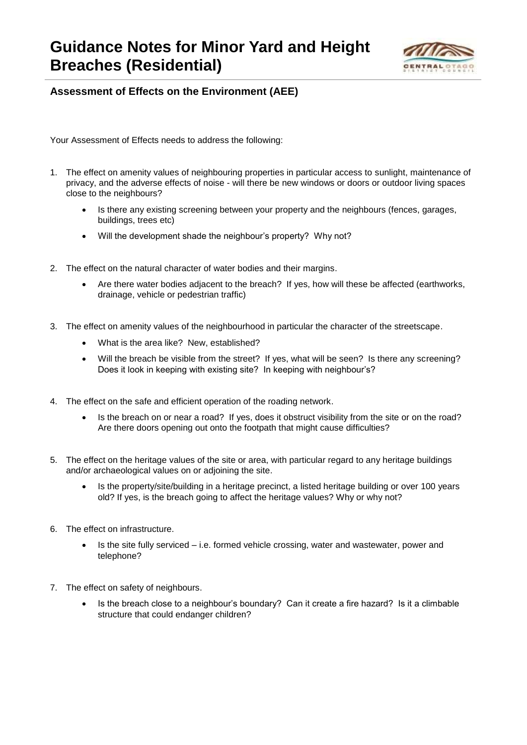## **Guidance Notes for Minor Yard and Height Breaches (Residential)**



## **Assessment of Effects on the Environment (AEE)**

Your Assessment of Effects needs to address the following:

- 1. The effect on amenity values of neighbouring properties in particular access to sunlight, maintenance of privacy, and the adverse effects of noise - will there be new windows or doors or outdoor living spaces close to the neighbours?
	- Is there any existing screening between your property and the neighbours (fences, garages, buildings, trees etc)
	- Will the development shade the neighbour's property? Why not?
- 2. The effect on the natural character of water bodies and their margins.
	- Are there water bodies adjacent to the breach? If yes, how will these be affected (earthworks, drainage, vehicle or pedestrian traffic)
- 3. The effect on amenity values of the neighbourhood in particular the character of the streetscape.
	- What is the area like? New, established?
	- Will the breach be visible from the street? If yes, what will be seen? Is there any screening? Does it look in keeping with existing site? In keeping with neighbour's?
- 4. The effect on the safe and efficient operation of the roading network.
	- Is the breach on or near a road? If yes, does it obstruct visibility from the site or on the road? Are there doors opening out onto the footpath that might cause difficulties?
- 5. The effect on the heritage values of the site or area, with particular regard to any heritage buildings and/or archaeological values on or adjoining the site.
	- Is the property/site/building in a heritage precinct, a listed heritage building or over 100 years old? If yes, is the breach going to affect the heritage values? Why or why not?
- 6. The effect on infrastructure.
	- Is the site fully serviced i.e. formed vehicle crossing, water and wastewater, power and telephone?
- 7. The effect on safety of neighbours.
	- Is the breach close to a neighbour's boundary? Can it create a fire hazard? Is it a climbable structure that could endanger children?